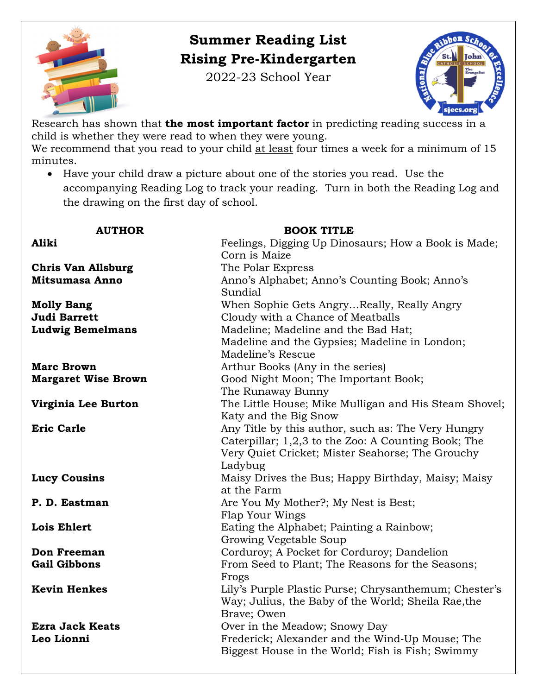

## **Summer Reading List Rising Pre-Kindergarten**

2022-23 School Year



Research has shown that **the most important factor** in predicting reading success in a child is whether they were read to when they were young. We recommend that you read to your child at least four times a week for a minimum of 15 minutes.

• Have your child draw a picture about one of the stories you read. Use the accompanying Reading Log to track your reading. Turn in both the Reading Log and the drawing on the first day of school.

| <b>AUTHOR</b>              | <b>BOOK TITLE</b>                                     |
|----------------------------|-------------------------------------------------------|
| Aliki                      | Feelings, Digging Up Dinosaurs; How a Book is Made;   |
|                            | Corn is Maize                                         |
| <b>Chris Van Allsburg</b>  | The Polar Express                                     |
| <b>Mitsumasa Anno</b>      | Anno's Alphabet; Anno's Counting Book; Anno's         |
|                            | Sundial                                               |
| <b>Molly Bang</b>          | When Sophie Gets AngryReally, Really Angry            |
| <b>Judi Barrett</b>        | Cloudy with a Chance of Meatballs                     |
| <b>Ludwig Bemelmans</b>    | Madeline; Madeline and the Bad Hat;                   |
|                            | Madeline and the Gypsies; Madeline in London;         |
|                            | Madeline's Rescue                                     |
| <b>Marc Brown</b>          | Arthur Books (Any in the series)                      |
| <b>Margaret Wise Brown</b> | Good Night Moon; The Important Book;                  |
|                            | The Runaway Bunny                                     |
| Virginia Lee Burton        | The Little House; Mike Mulligan and His Steam Shovel; |
|                            | Katy and the Big Snow                                 |
| <b>Eric Carle</b>          | Any Title by this author, such as: The Very Hungry    |
|                            | Caterpillar; 1,2,3 to the Zoo: A Counting Book; The   |
|                            | Very Quiet Cricket; Mister Seahorse; The Grouchy      |
|                            | Ladybug                                               |
| <b>Lucy Cousins</b>        | Maisy Drives the Bus; Happy Birthday, Maisy; Maisy    |
|                            | at the Farm                                           |
| P. D. Eastman              | Are You My Mother?; My Nest is Best;                  |
|                            | Flap Your Wings                                       |
| <b>Lois Ehlert</b>         | Eating the Alphabet; Painting a Rainbow;              |
|                            | Growing Vegetable Soup                                |
| <b>Don Freeman</b>         | Corduroy; A Pocket for Corduroy; Dandelion            |
| <b>Gail Gibbons</b>        | From Seed to Plant; The Reasons for the Seasons;      |
|                            | Frogs                                                 |
| <b>Kevin Henkes</b>        | Lily's Purple Plastic Purse; Chrysanthemum; Chester's |
|                            | Way; Julius, the Baby of the World; Sheila Rae, the   |
|                            | Brave; Owen                                           |
| <b>Ezra Jack Keats</b>     | Over in the Meadow; Snowy Day                         |
| Leo Lionni                 | Frederick; Alexander and the Wind-Up Mouse; The       |
|                            | Biggest House in the World; Fish is Fish; Swimmy      |